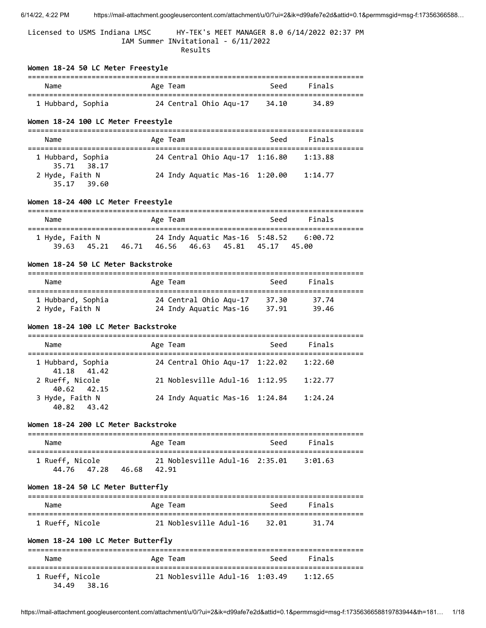Licensed to USMS Indiana LMSC HY-TEK's MEET MANAGER 8.0 6/14/2022 02:37 PM IAM Summer INvitational - 6/11/2022 Results

| Women 18-24 50 LC Meter Freestyle                                             |                                                                                               |             |                      |
|-------------------------------------------------------------------------------|-----------------------------------------------------------------------------------------------|-------------|----------------------|
| Name                                                                          | Age Team                                                                                      | Seed        | Finals               |
| 1 Hubbard, Sophia                                                             | 24 Central Ohio Aqu-17 34.10                                                                  |             | 34.89                |
| Women 18-24 100 LC Meter Freestyle                                            |                                                                                               |             |                      |
| Name                                                                          | Age Team                                                                                      | Seed        | Finals               |
| 1 Hubbard, Sophia                                                             | 24 Central Ohio Aqu-17 1:16.80                                                                |             | 1:13.88              |
| 35.71 38.17<br>2 Hyde, Faith N<br>35.17<br>39.60                              | 24 Indy Aquatic Mas-16 1:20.00                                                                |             | 1:14.77              |
| Women 18-24 400 LC Meter Freestyle                                            |                                                                                               |             |                      |
| Name                                                                          | Age Team                                                                                      | Seed        | Finals               |
| ==================================<br>1 Hyde, Faith N<br>45.21 46.71<br>39.63 | ========================<br>24 Indy Aquatic Mas-16 5:48.52 6:00.72<br>46.56<br>46.63<br>45.81 | 45.17 45.00 | ==================== |
| Women 18-24 50 LC Meter Backstroke                                            |                                                                                               |             |                      |
| Name                                                                          | Age Team                                                                                      | Seed        | Finals               |
| 1 Hubbard, Sophia<br>2 Hyde, Faith N                                          | 24 Central Ohio Aqu-17 37.30<br>24 Indy Aquatic Mas-16 37.91                                  |             | 37.74<br>39.46       |
| Women 18-24 100 LC Meter Backstroke                                           |                                                                                               |             |                      |
| Name                                                                          | Age Team                                                                                      | Seed        | Finals               |
| 1 Hubbard, Sophia<br>41.42<br>41.18                                           | 24 Central Ohio Aqu-17  1:22.02    1:22.60                                                    |             |                      |
| 2 Rueff, Nicole<br>40.62<br>42.15                                             | 21 Noblesville Adul-16                                                                        | 1:12.95     | 1:22.77              |
| 3 Hyde, Faith N<br>40.82<br>43.42                                             | 24 Indy Aquatic Mas-16 1:24.84                                                                |             | 1:24.24              |
| Women 18-24 200 LC Meter Backstroke                                           |                                                                                               |             |                      |
| Name                                                                          | Age Team                                                                                      | Seed        | Finals               |
| 1 Rueff, Nicole<br>46.68<br>44.76<br>47.28                                    | 21 Noblesville Adul-16<br>42.91                                                               | 2:35.01     | 3:01.63              |
| Women 18-24 50 LC Meter Butterfly                                             |                                                                                               |             |                      |
| Name                                                                          | Age Team                                                                                      | Seed        | Finals               |
| 1 Rueff, Nicole                                                               | 21 Noblesville Adul-16                                                                        | 32.01       | 31.74                |
| Women 18-24 100 LC Meter Butterfly                                            |                                                                                               |             |                      |
| Name                                                                          | Age Team                                                                                      | Seed        | Finals               |
| 1 Rueff, Nicole<br>38.16<br>34.49                                             | 21 Noblesville Adul-16 1:03.49                                                                |             | 1:12.65              |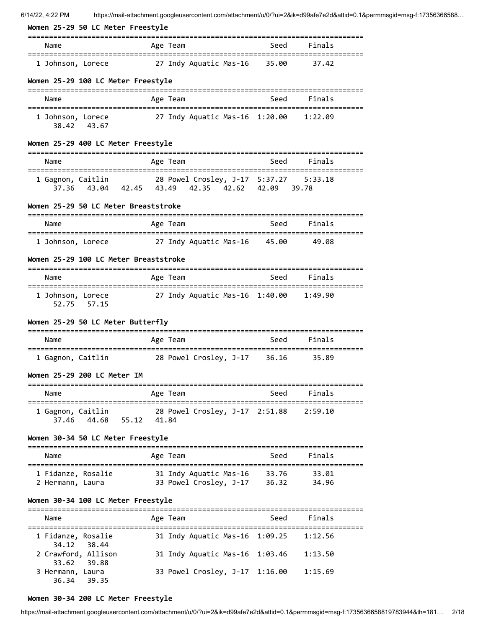| Women 25-29 50 LC Meter Freestyle                                                                                             |          |                                        |      |         |  |
|-------------------------------------------------------------------------------------------------------------------------------|----------|----------------------------------------|------|---------|--|
| Name                                                                                                                          | Age Team |                                        | Seed | Finals  |  |
| 1 Johnson, Lorece                                                                                                             |          | 27 Indy Aquatic Mas-16   35.00         |      | 37.42   |  |
| Women 25-29 100 LC Meter Freestyle                                                                                            |          |                                        |      |         |  |
| Name                                                                                                                          | Age Team | ==================================     | Seed | Finals  |  |
| 1 Johnson, Lorece<br>38.42 43.67                                                                                              |          | 27 Indy Aquatic Mas-16 1:20.00 1:22.09 |      |         |  |
| Women 25-29 400 LC Meter Freestyle<br>======================<br>=======                                                       |          |                                        |      |         |  |
| Name                                                                                                                          | Age Team |                                        | Seed | Finals  |  |
| 1 Gagnon, Caitlin                         28 Powel Crosley, J-17   5:37.27<br>37.36 43.04 42.45 43.49 42.35 42.62 42.09 39.78 |          |                                        |      | 5:33.18 |  |
| Women 25-29 50 LC Meter Breaststroke                                                                                          |          |                                        |      |         |  |
| Name                                                                                                                          | Age Team |                                        | Seed | Finals  |  |
| 1 Johnson, Lorece 27 Indy Aquatic Mas-16 45.00                                                                                |          |                                        |      | 49.08   |  |
| Women 25-29 100 LC Meter Breaststroke                                                                                         |          |                                        |      |         |  |
| Name                                                                                                                          | Age Team |                                        | Seed | Finals  |  |
| 1 Johnson, Lorece<br>52.75 57.15                                                                                              |          | 27 Indy Aquatic Mas-16 1:40.00 1:49.90 |      |         |  |
| Women 25-29 50 LC Meter Butterfly                                                                                             |          |                                        |      |         |  |
| Name                                                                                                                          | Age Team |                                        | Seed | Finals  |  |
| 1 Gagnon, Caitlin                                                                                                             |          | 28 Powel Crosley, J-17 36.16           |      | 35.89   |  |
| Women 25-29 200 LC Meter IM                                                                                                   |          |                                        |      |         |  |
| Name                                                                                                                          |          | Age Team                               | Seed | Finals  |  |
| 1 Gagnon, Caitlin 28 Powel Crosley, J-17 2:51.88 2:59.10<br>37.46 44.68 55.12 41.84                                           |          |                                        |      |         |  |
| Women 30-34 50 LC Meter Freestyle                                                                                             |          |                                        |      |         |  |
| Name                                                                                                                          | Age Team |                                        | Seed | Finals  |  |
| 1 Fidanze, Rosalie                                                                                                            |          | 31 Indy Aquatic Mas-16 33.76           |      | 33.01   |  |
| 2 Hermann, Laura                                                                                                              |          | 33 Powel Crosley, J-17 36.32           |      | 34.96   |  |
| Women 30-34 100 LC Meter Freestyle<br>======================<br>======                                                        |          |                                        |      |         |  |
| Name                                                                                                                          | Age Team |                                        | Seed | Finals  |  |
| 1 Fidanze, Rosalie<br>34.12<br>- 38.44                                                                                        |          | 31 Indy Aquatic Mas-16 1:09.25         |      | 1:12.56 |  |
| 2 Crawford, Allison<br>33.62 39.88                                                                                            |          | 31 Indy Aquatic Mas-16 1:03.46         |      | 1:13.50 |  |
| 3 Hermann, Laura<br>36.34 39.35                                                                                               |          | 33 Powel Crosley, J-17 1:16.00         |      | 1:15.69 |  |

# **Women 30-34 200 LC Meter Freestyle**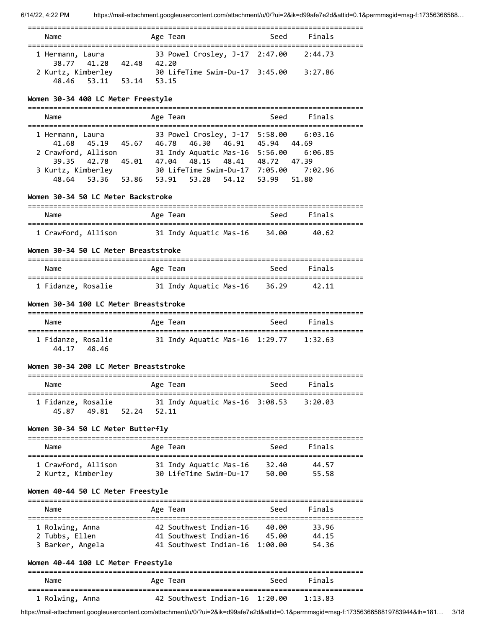| Name                                                  | Age Team                                                                              | Finals<br>Seed |
|-------------------------------------------------------|---------------------------------------------------------------------------------------|----------------|
| 1 Hermann, Laura<br>38.77 41.28 42.48                 | 33 Powel Crosley, J-17 2:47.00 2:44.73<br>42.20                                       |                |
| 2 Kurtz, Kimberley<br>53.11 53.14 53.15<br>48.46      | 30 LifeTime Swim-Du-17 3:45.00 3:27.86                                                |                |
| Women 30-34 400 LC Meter Freestyle                    |                                                                                       |                |
| Name                                                  | Age Team                                                                              | Finals<br>Seed |
| 1 Hermann, Laura 33 Powel Crosley, J-17 5:58.00       |                                                                                       | 6:03.16        |
| 41.68                                                 | 45.19 45.67 46.78 46.30 46.91 45.94 44.69                                             |                |
| 2 Crawford, Allison                                   | 31 Indy Aquatic Mas-16  5:56.00  6:06.85<br>39.35 42.78 45.01 47.04 48.15 48.41 48.72 | 47.39          |
| 3 Kurtz, Kimberley                                    | 30 LifeTime Swim-Du-17 7:05.00 7:02.96                                                |                |
|                                                       | 48.64 53.36 53.86 53.91 53.28 54.12 53.99                                             | 51.80          |
| Women 30-34 50 LC Meter Backstroke                    |                                                                                       |                |
| Name                                                  | Age Team                                                                              | Seed<br>Finals |
| 1 Crawford, Allison 31 Indy Aquatic Mas-16 34.00      |                                                                                       | 40.62          |
| Women 30-34 50 LC Meter Breaststroke                  |                                                                                       |                |
| Name                                                  | Age Team                                                                              | Seed<br>Finals |
| 1 Fidanze, Rosalie 31 Indy Aquatic Mas-16 36.29 42.11 |                                                                                       |                |
| Women 30-34 100 LC Meter Breaststroke                 |                                                                                       |                |
| Name                                                  | Age Team                                                                              | Seed<br>Finals |
| 1 Fidanze, Rosalie<br>44.17 48.46                     | 31 Indy Aquatic Mas-16 1:29.77 1:32.63                                                |                |
| Women 30-34 200 LC Meter Breaststroke                 |                                                                                       |                |
| Name                                                  | Age Team                                                                              | Seed<br>Finals |
| 1 Fidanze, Rosalie<br>45.87 49.81 52.24               | 31 Indy Aquatic Mas-16 3:08.53<br>52.11                                               | 3:20.03        |
| Women 30-34 50 LC Meter Butterfly                     |                                                                                       |                |
| ;=============<br>Name                                | Age Team                                                                              | Finals<br>Seed |
| :=========================                            |                                                                                       |                |
| 1 Crawford, Allison                                   | 31 Indy Aquatic Mas-16                                                                | 32.40<br>44.57 |
| 2 Kurtz, Kimberley                                    | 30 LifeTime Swim-Du-17                                                                | 50.00<br>55.58 |
| Women 40-44 50 LC Meter Freestyle                     |                                                                                       |                |
| Name                                                  | Age Team                                                                              | Finals<br>Seed |
| 1 Rolwing, Anna                                       | 42 Southwest Indian-16 40.00                                                          | 33.96          |
| 2 Tubbs, Ellen                                        | 41 Southwest Indian-16 45.00                                                          | 44.15          |
| 3 Barker, Angela                                      | 41 Southwest Indian-16 1:00.00                                                        | 54.36          |
| Women 40-44 100 LC Meter Freestyle                    |                                                                                       |                |
| Name                                                  | Age Team                                                                              | Seed<br>Finals |
| 1 Rolwing, Anna                                       | 42 Southwest Indian-16 1:20.00                                                        | 1:13.83        |

https://mail-attachment.googleusercontent.com/attachment/u/0/?ui=2&ik=d99afe7e2d&attid=0.1&permmsgid=msg-f:1735636658819783944&th=181… 3/18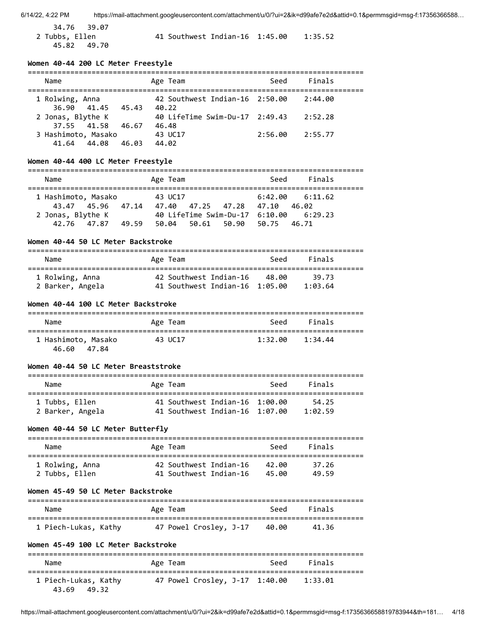34.76 39.07 45.82 49.70

2 Tubbs, Ellen 41 Southwest Indian-16 1:45.00 1:35.52

### **Women 40-44 200 LC Meter Freestyle**

| Name                                  |       | Age Team                                | Seed    | Finals  |
|---------------------------------------|-------|-----------------------------------------|---------|---------|
| 1 Rolwing, Anna<br>36.90 41.45        | 45.43 | 42 Southwest Indian-16 2:50.00<br>40.22 |         | 2:44.00 |
| 2 Jonas, Blythe K<br>37.55 41.58      | 46.67 | 40 LifeTime Swim-Du-17 2:49.43<br>46.48 |         | 2:52.28 |
| 3 Hashimoto, Masako<br>44.08<br>41.64 | 46.03 | 43 UC17<br>44.02                        | 2:56.00 | 2:55.77 |

## **Women 40-44 400 LC Meter Freestyle**

| Name                |       | Age Team |                   |                   | Seed  | Finals                                     |
|---------------------|-------|----------|-------------------|-------------------|-------|--------------------------------------------|
|                     |       |          |                   |                   |       |                                            |
| 1 Hashimoto, Masako |       | 43 UC17  |                   |                   |       | $6:42.00$ $6:11.62$                        |
| 43.47 45.96         | 47.14 |          | 47.40 47.25 47.28 |                   | 47.10 | 46.02                                      |
| 2 Jonas, Blythe K   |       |          |                   |                   |       | 40 LifeTime Swim-Du-17   6:10.00   6:29.23 |
| 42.76 47.87         | 49.59 | 50.04    |                   | 50.61 50.90 50.75 |       | 46.71                                      |

#### **Women 40-44 50 LC Meter Backstroke**

| Name             | Age Team                       | Seed  | Finals  |  |
|------------------|--------------------------------|-------|---------|--|
| 1 Rolwing, Anna  | 42 Southwest Indian-16         | 48.00 | 39.73   |  |
| 2 Barker, Angela | 41 Southwest Indian-16 1:05.00 |       | 1:03.64 |  |

### **Women 40-44 100 LC Meter Backstroke**

| Name                                  | Age Team | Seed    | Finals  |
|---------------------------------------|----------|---------|---------|
| 1 Hashimoto, Masako<br>46.60<br>47.84 | 43 UC17  | 1:32.00 | 1:34.44 |

#### **Women 40-44 50 LC Meter Breaststroke**

| Name                               | Age Team                                                         | Seed | Finals           |  |
|------------------------------------|------------------------------------------------------------------|------|------------------|--|
| 1 Tubbs, Ellen<br>2 Barker, Angela | 41 Southwest Indian-16 1:00.00<br>41 Southwest Indian-16 1:07.00 |      | 54.25<br>1:02.59 |  |

### **Women 40-44 50 LC Meter Butterfly**

| Name            | Age Team               | Seed  | Finals |
|-----------------|------------------------|-------|--------|
| 1 Rolwing, Anna | 42 Southwest Indian-16 | 42.AA | 37.26  |
| 2 Tubbs, Ellen  | 41 Southwest Indian-16 | 45.00 | 49.59  |

### **Women 45-49 50 LC Meter Backstroke**

| Name                 | Age Team               | Seed  | Finals |
|----------------------|------------------------|-------|--------|
| 1 Piech-Lukas, Kathy | 47 Powel Crosley, J-17 | 40.00 | 41.36  |

# **Women 45-49 100 LC Meter Backstroke**

| Name                                | Age Team                       | Finals<br>Seed |
|-------------------------------------|--------------------------------|----------------|
| 1 Piech-Lukas, Kathy<br>43.69 49.32 | 47 Powel Crosley, J-17 1:40.00 | 1:33.01        |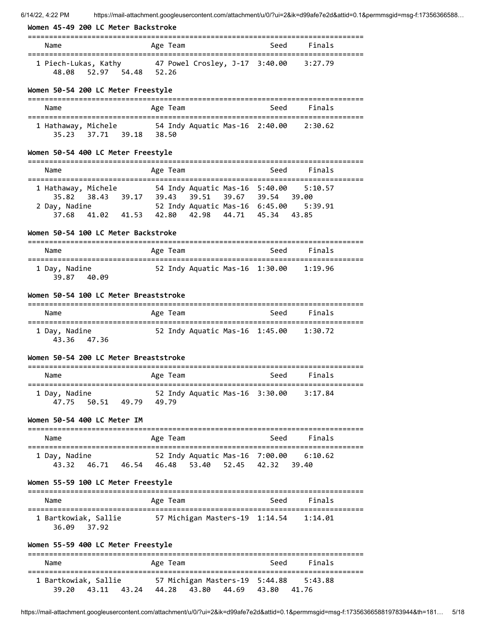|  |  | Women 45-49 200 LC Meter Backstroke |
|--|--|-------------------------------------|
|  |  |                                     |

| women 45-49 200 LL Meter Backstroke                                                                                                                                                                                      | ======================================                                              |                |
|--------------------------------------------------------------------------------------------------------------------------------------------------------------------------------------------------------------------------|-------------------------------------------------------------------------------------|----------------|
| Name                                                                                                                                                                                                                     | Age Team                                                                            | Seed<br>Finals |
| 1 Piech-Lukas, Kathy 47 Powel Crosley, J-17 3:40.00<br>48.08 52.97 54.48 52.26                                                                                                                                           |                                                                                     | 3:27.79        |
| Women 50-54 200 LC Meter Freestyle                                                                                                                                                                                       |                                                                                     |                |
| Name                                                                                                                                                                                                                     | Age Team                                                                            | Seed<br>Finals |
| 1 Hathaway, Michele 54 Indy Aquatic Mas-16 2:40.00 2:30.62<br>37.71 39.18 38.50<br>35.23                                                                                                                                 |                                                                                     |                |
| Women 50-54 400 LC Meter Freestyle                                                                                                                                                                                       |                                                                                     |                |
| Name<br>==================================                                                                                                                                                                               | Age Team                                                                            | Seed<br>Finals |
| 1 Hathaway, Michele 54 Indy Aquatic Mas-16 5:40.00 5:10.57<br>35.82 38.43 39.17 39.43 39.51 39.67 39.54 39.00<br>2 Day, Nadine 52 Indy Aquatic Mas-16 6:45.00 5:39.91<br>37.68 41.02 41.53 42.80 42.98 44.71 45.34 43.85 |                                                                                     |                |
| Women 50-54 100 LC Meter Backstroke                                                                                                                                                                                      |                                                                                     |                |
| Name                                                                                                                                                                                                                     | Age Team                                                                            | Seed Finals    |
| 1 Day, Nadine<br>39.87 40.09                                                                                                                                                                                             | 52 Indy Aquatic Mas-16 1:30.00                                                      | 1:19.96        |
| Women 50-54 100 LC Meter Breaststroke                                                                                                                                                                                    |                                                                                     |                |
| Name                                                                                                                                                                                                                     | Age Team                                                                            | Finals<br>Seed |
| 1 Day, Nadine<br>43.36 47.36                                                                                                                                                                                             | 52 Indy Aquatic Mas-16 1:45.00 1:30.72                                              |                |
| Women 50-54 200 LC Meter Breaststroke                                                                                                                                                                                    |                                                                                     |                |
| Name                                                                                                                                                                                                                     | Age Team                                                                            | Seed<br>Finals |
| 1 Day, Nadine<br>47.75 50.51 49.79 49.79                                                                                                                                                                                 | 52 Indy Aquatic Mas-16 3:30.00 3:17.84                                              |                |
| Women 50-54 400 LC Meter IM                                                                                                                                                                                              |                                                                                     |                |
| Name                                                                                                                                                                                                                     | Age Team                                                                            | Seed<br>Finals |
| 1 Day, Nadine<br>43.32                                                                                                                                                                                                   | 52 Indy Aquatic Mas-16 7:00.00 6:10.62<br>46.71 46.54 46.48 53.40 52.45 42.32 39.40 |                |
| Women 55-59 100 LC Meter Freestyle                                                                                                                                                                                       |                                                                                     |                |
| Name                                                                                                                                                                                                                     | Age Team                                                                            | Seed<br>Finals |
| 36.09<br>37.92                                                                                                                                                                                                           |                                                                                     |                |
| Women 55-59 400 LC Meter Freestyle                                                                                                                                                                                       |                                                                                     |                |
| Name                                                                                                                                                                                                                     | Age Team                                                                            | Seed<br>Finals |
| 1 Bartkowiak, Sallie                                                                                                                                                                                                     | 39.20 43.11 43.24 44.28 43.80 44.69 43.80 41.76                                     |                |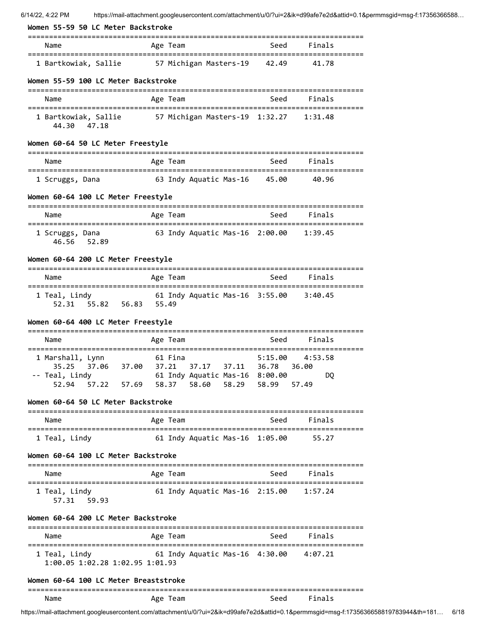| Women 55-59 50 LC Meter Backstroke                                                                              |          |                                        |         |         |  |
|-----------------------------------------------------------------------------------------------------------------|----------|----------------------------------------|---------|---------|--|
| Name                                                                                                            | Age Team |                                        | Seed    | Finals  |  |
| 1 Bartkowiak, Sallie 57 Michigan Masters-19 42.49                                                               |          |                                        |         | 41.78   |  |
| Women 55-59 100 LC Meter Backstroke                                                                             |          |                                        |         |         |  |
| Name                                                                                                            | Age Team |                                        | Seed    | Finals  |  |
| 1 Bartkowiak, Sallie 57 Michigan Masters-19 1:32.27 1:31.48<br>44.30 47.18                                      |          |                                        |         |         |  |
| Women 60-64 50 LC Meter Freestyle                                                                               |          |                                        |         |         |  |
| Name                                                                                                            | Age Team |                                        | Seed    | Finals  |  |
| 1 Scruggs, Dana                                                                                                 |          | 63 Indy Aquatic Mas-16  45.00          |         | 40.96   |  |
| Women 60-64 100 LC Meter Freestyle                                                                              |          |                                        |         |         |  |
| Name                                                                                                            | Age Team |                                        | Seed    | Finals  |  |
| 1 Scruggs, Dana<br>46.56<br>52.89                                                                               |          | 63 Indy Aquatic Mas-16 2:00.00         |         | 1:39.45 |  |
| Women 60-64 200 LC Meter Freestyle                                                                              |          |                                        |         |         |  |
| Name                                                                                                            | Age Team |                                        | Seed    | Finals  |  |
| 1 Teal, Lindy                       61 Indy Aquatic Mas-16 3:55.00     3:40.45<br>52.31   55.82   56.83   55.49 |          |                                        |         |         |  |
| Women 60-64 400 LC Meter Freestyle                                                                              |          |                                        |         |         |  |
| Name                                                                                                            | Age Team |                                        | Seed    | Finals  |  |
| 1 Marshall, Lynn                                                                                                | 61 Fina  |                                        | 5:15.00 | 4:53.58 |  |
| 35.25 37.06 37.00 37.21 37.17 37.11 36.78 36.00                                                                 |          |                                        |         | DO      |  |
| 52.94 57.22 57.69 58.37 58.60 58.29 58.99 57.49                                                                 |          |                                        |         |         |  |
| Women 60-64 50 LC Meter Backstroke                                                                              |          |                                        |         |         |  |
| Name                                                                                                            |          | Age Team                               | Seed    | Finals  |  |
| 1 Teal, Lindy                                                                                                   |          | 61 Indy Aquatic Mas-16 1:05.00 55.27   |         |         |  |
| Women 60-64 100 LC Meter Backstroke                                                                             |          |                                        |         |         |  |
| Name                                                                                                            | Age Team |                                        | Seed    | Finals  |  |
| 1 Teal, Lindy<br>57.31 59.93                                                                                    |          | 61 Indy Aquatic Mas-16 2:15.00 1:57.24 |         |         |  |
| Women 60-64 200 LC Meter Backstroke                                                                             |          |                                        |         |         |  |
| Name                                                                                                            | Age Team |                                        | Seed    | Finals  |  |
| 1 Teal, Lindy<br>1:00.05 1:02.28 1:02.95 1:01.93                                                                |          |                                        |         |         |  |
| Women 60-64 100 LC Meter Breaststroke                                                                           |          |                                        |         |         |  |

### =============================================================================== Name **Age Team** Age Team Seed Finals

https://mail-attachment.googleusercontent.com/attachment/u/0/?ui=2&ik=d99afe7e2d&attid=0.1&permmsgid=msg-f:1735636658819783944&th=181… 6/18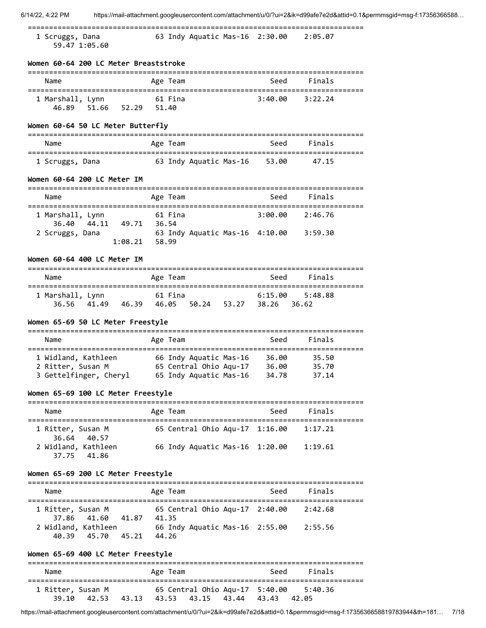1 Scruggs, Dana 63 Indy Aquatic Mas-16 2:30.00 2:05.07

59.47 1:05.60

**Women 60-64 200 LC Meter Breaststroke**

| Name             | Age Team       | Finals<br>Seed     |  |
|------------------|----------------|--------------------|--|
| 1 Marshall, Lynn | 61 Fina        | 3:40.00<br>3:22.24 |  |
| 46.89<br>- 51.66 | 52.29<br>51.40 |                    |  |

# **Women 60-64 50 LC Meter Butterfly**

| Name            |                        | Seed  | Finals |  |
|-----------------|------------------------|-------|--------|--|
|                 | Age Team               |       |        |  |
| 1 Scruggs, Dana | 63 Indy Aquatic Mas-16 | 53.00 | 47.15  |  |

# **Women 60-64 200 LC Meter IM**

| Name                            |                 | Age Team                       | Seed    | Finals  |
|---------------------------------|-----------------|--------------------------------|---------|---------|
| 1 Marshall, Lynn<br>36.40 44.11 | 49.71<br>36.54  | 61 Fina                        | 3:99.99 | 2:46.76 |
| 2 Scruggs, Dana                 | $1:08.21$ 58.99 | 63 Indy Aquatic Mas-16 4:10.00 |         | 3:59.30 |

### **Women 60-64 400 LC Meter IM**

| Name                            |       | Age Team               |       | Seed               | Finals             |
|---------------------------------|-------|------------------------|-------|--------------------|--------------------|
| 1 Marshall, Lynn<br>36.56 41.49 | 46.39 | 61 Fina<br>46.05 50.24 | 53.27 | 6:15.00<br>- 38.26 | 5:48.88<br>- 36.62 |

### **Women 65-69 50 LC Meter Freestyle**

| Name                   | Age Team               | Seed  | Finals |
|------------------------|------------------------|-------|--------|
| 1 Widland, Kathleen    | 66 Indy Aquatic Mas-16 | 36.00 | 35.50  |
| 2 Ritter, Susan M      | 65 Central Ohio Aqu-17 | 36.00 | 35.70  |
| 3 Gettelfinger, Cheryl | 65 Indy Aquatic Mas-16 | 34.78 | 37.14  |

### **Women 65-69 100 LC Meter Freestyle**

| Name                               | Age Team                       | Seed | Finals  |
|------------------------------------|--------------------------------|------|---------|
| 1 Ritter, Susan M<br>36.64 40.57   | 65 Central Ohio Aqu-17 1:16.00 |      | 1:17.21 |
| 2 Widland, Kathleen<br>37.75 41.86 | 66 Indy Aquatic Mas-16 1:20.00 |      | 1:19.61 |

### **Women 65-69 200 LC Meter Freestyle**

| Name              |                                    |       | Age Team                                | Seed | Finals  |
|-------------------|------------------------------------|-------|-----------------------------------------|------|---------|
| 1 Ritter, Susan M | 37.86 41.60                        | 41.87 | 65 Central Ohio Agu-17 2:40.00<br>41.35 |      | 2:42.68 |
|                   | 2 Widland, Kathleen<br>40.39 45.70 | 45.21 | 66 Indy Aquatic Mas-16 2:55.00<br>44.26 |      | 2:55.56 |

## **Women 65-69 400 LC Meter Freestyle**

| Name                       | Age Team                                                              | Seed | Finals           |
|----------------------------|-----------------------------------------------------------------------|------|------------------|
| 1 Ritter, Susan M<br>39.10 | 65 Central Ohio Aqu-17 5:40.00<br>42.53 43.13 43.53 43.15 43.44 43.43 |      | 5:40.36<br>42.05 |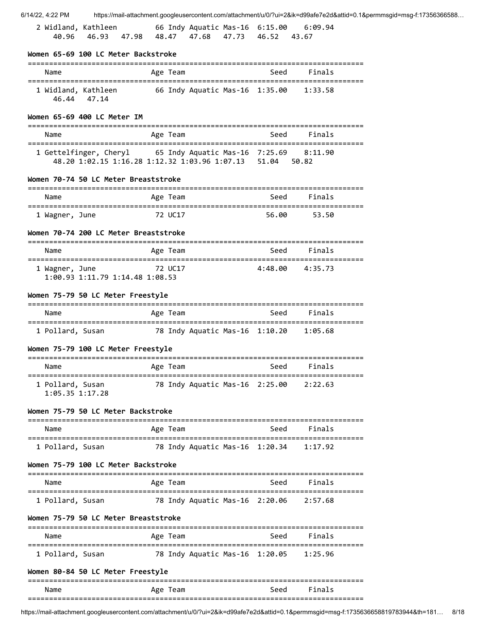| 6/14/22, 4:22 PM                                      |                                                           |                                |          |                                |                                 |                                                               | https://mail-attachment.googleusercontent.com/attachment/u/0/?ui=2&ik=d99afe7e2d&attid=0.1&permmsgid=msg-f:17356366588 |
|-------------------------------------------------------|-----------------------------------------------------------|--------------------------------|----------|--------------------------------|---------------------------------|---------------------------------------------------------------|------------------------------------------------------------------------------------------------------------------------|
| 2 Widland, Kathleen                                   | 40.96 46.93 47.98 48.47 47.68 47.73 46.52 43.67           |                                |          |                                |                                 | 66 Indy Aquatic Mas-16  6:15.00  6:09.94                      |                                                                                                                        |
| Women 65-69 100 LC Meter Backstroke                   |                                                           |                                |          |                                |                                 |                                                               |                                                                                                                        |
| Name                                                  |                                                           |                                | Age Team |                                | Seed                            | Finals                                                        |                                                                                                                        |
| 1 Widland, Kathleen                                   | 46.44 47.14                                               | 66 Indy Aquatic Mas-16 1:35.00 |          |                                |                                 | 1:33.58                                                       |                                                                                                                        |
| Women 65-69 400 LC Meter IM                           |                                                           |                                |          |                                |                                 |                                                               |                                                                                                                        |
| Name                                                  |                                                           |                                | Age Team |                                | Seed                            | Finals                                                        |                                                                                                                        |
|                                                       | 48.20 1:02.15 1:16.28 1:12.32 1:03.96 1:07.13 51.04 50.82 |                                |          |                                |                                 | 1 Gettelfinger, Cheryl 65 Indy Aquatic Mas-16 7:25.69 8:11.90 |                                                                                                                        |
| Women 70-74 50 LC Meter Breaststroke                  |                                                           |                                |          |                                |                                 |                                                               |                                                                                                                        |
| Name                                                  |                                                           |                                | Age Team |                                | Seed                            | Finals                                                        |                                                                                                                        |
| 1 Wagner, June                                        |                                                           | 72 UC17                        |          |                                | 56.00                           | 53.50                                                         |                                                                                                                        |
| Women 70-74 200 LC Meter Breaststroke                 |                                                           |                                |          |                                |                                 |                                                               |                                                                                                                        |
| Name                                                  |                                                           |                                | Age Team |                                | Seed                            | Finals                                                        |                                                                                                                        |
| 1 Wagner, June                                        | 1:00.93 1:11.79 1:14.48 1:08.53                           |                                | 72 UC17  |                                |                                 | 4:48.00 4:35.73                                               |                                                                                                                        |
| Women 75-79 50 LC Meter Freestyle                     |                                                           |                                |          |                                |                                 |                                                               |                                                                                                                        |
| Name                                                  |                                                           |                                | Age Team |                                | Seed                            | Finals                                                        |                                                                                                                        |
|                                                       |                                                           |                                |          |                                |                                 | 1 Pollard, Susan 78 Indy Aquatic Mas-16 1:10.20 1:05.68       |                                                                                                                        |
| Women 75-79 100 LC Meter Freestyle                    |                                                           |                                |          |                                |                                 |                                                               |                                                                                                                        |
| Name                                                  |                                                           |                                | Age Team |                                | Seed                            | ⊦ınaıs                                                        |                                                                                                                        |
| 1 Pollard, Susan<br>$1:05.35$ $1:17.28$               |                                                           |                                |          | 78 Indy Aquatic Mas-16 2:25.00 |                                 | 2:22.63                                                       |                                                                                                                        |
| Women 75-79 50 LC Meter Backstroke                    |                                                           |                                |          |                                |                                 |                                                               |                                                                                                                        |
| Name                                                  |                                                           |                                | Age Team |                                | Seed                            | Finals                                                        |                                                                                                                        |
| 1 Pollard, Susan                                      |                                                           |                                |          | 78 Indy Aquatic Mas-16 1:20.34 |                                 | 1:17.92                                                       |                                                                                                                        |
| Women 75-79 100 LC Meter Backstroke                   |                                                           |                                |          |                                |                                 |                                                               |                                                                                                                        |
| Name                                                  |                                                           |                                | Age Team |                                | Seed                            | Finals                                                        |                                                                                                                        |
| =================================<br>1 Pollard, Susan |                                                           |                                |          | 78 Indy Aquatic Mas-16 2:20.06 | =============================== | 2:57.68                                                       |                                                                                                                        |
| Women 75-79 50 LC Meter Breaststroke                  |                                                           |                                |          |                                |                                 |                                                               |                                                                                                                        |
| Name                                                  |                                                           |                                | Age Team |                                | Seed                            | Finals                                                        |                                                                                                                        |
| 1 Pollard, Susan                                      |                                                           |                                |          | 78 Indy Aquatic Mas-16 1:20.05 |                                 | 1:25.96                                                       |                                                                                                                        |
| Women 80-84 50 LC Meter Freestyle                     |                                                           |                                |          |                                |                                 |                                                               |                                                                                                                        |
| Name                                                  |                                                           |                                | Age Team |                                | Seed                            | Finals                                                        |                                                                                                                        |
|                                                       |                                                           |                                |          |                                |                                 |                                                               |                                                                                                                        |

https://mail-attachment.googleusercontent.com/attachment/u/0/?ui=2&ik=d99afe7e2d&attid=0.1&permmsgid=msg-f:1735636658819783944&th=181… 8/18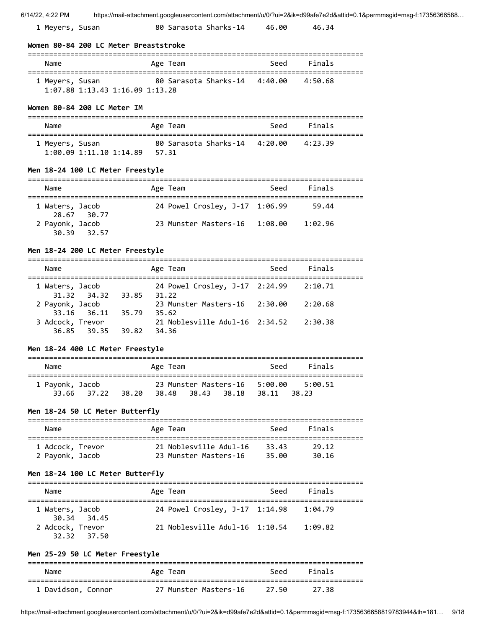| 1 Meyers, Susan | 80 Sarasota Sharks-14 | 46.00 | 46.34 |
|-----------------|-----------------------|-------|-------|
|-----------------|-----------------------|-------|-------|

### **Women 80-84 200 LC Meter Breaststroke**

| Name                                                       | Age Team                      | Seed | Finals  |  |
|------------------------------------------------------------|-------------------------------|------|---------|--|
| 1 Meyers, Susan<br>$1:07.88$ $1:13.43$ $1:16.09$ $1:13.28$ | 80 Sarasota Sharks-14 4:40.00 |      | 4:50.68 |  |

### **Women 80-84 200 LC Meter IM**

| Name                                             | Age Team                               | Seed | Finals  |  |
|--------------------------------------------------|----------------------------------------|------|---------|--|
| 1 Meyers, Susan<br>$1:00.09$ $1:11.10$ $1:14.89$ | 80 Sarasota Sharks-14 4:20.00<br>57.31 |      | 4:23.39 |  |

### **Men 18-24 100 LC Meter Freestyle**

| Name            |             | Age Team                       | Seed | Finals  |
|-----------------|-------------|--------------------------------|------|---------|
| 1 Waters, Jacob | 28.67 30.77 | 24 Powel Crosley, J-17 1:06.99 |      | 59.44   |
| 2 Payonk, Jacob | 30.39 32.57 | 23 Munster Masters-16 1:08.00  |      | 1:02.96 |

#### **Men 18-24 200 LC Meter Freestyle**

===============================================================================

| Name             |                         |       | Age Team                       | Seed | Finals  |  |
|------------------|-------------------------|-------|--------------------------------|------|---------|--|
| 1 Waters, Jacob  |                         |       | 24 Powel Crosley, J-17 2:24.99 |      | 2:10.71 |  |
| 2 Payonk, Jacob  | 31.32 34.32 33.85 31.22 |       | 23 Munster Masters-16 2:30.00  |      | 2:20.68 |  |
| 3 Adcock, Trevor | 33.16 36.11 35.79 35.62 |       | 21 Noblesville Adul-16 2:34.52 |      | 2:30.38 |  |
|                  | 36.85 39.35             | 39.82 | -34.36                         |      |         |  |

## **Men 18-24 400 LC Meter Freestyle**

| Name            |             |       | Age Team |                   |                               | Seed    | Finals           |
|-----------------|-------------|-------|----------|-------------------|-------------------------------|---------|------------------|
| 1 Payonk, Jacob | 33.66 37.22 | 38.20 |          | 38.48 38.43 38.18 | 23 Munster Masters-16 5:00.00 | - 38.11 | 5:00.51<br>38.23 |

### **Men 18-24 50 LC Meter Butterfly**

| Name             | Age Team               | Seed   | Finals |
|------------------|------------------------|--------|--------|
| 1 Adcock, Trevor | 21 Noblesville Adul-16 | -33.43 | 29.12  |
| 2 Payonk, Jacob  | 23 Munster Masters-16  | 35.00  | 30.16  |

### **Men 18-24 100 LC Meter Butterfly**

| Name             |             | Age Team                       | Seed | Finals  |
|------------------|-------------|--------------------------------|------|---------|
| 1 Waters, Jacob  | 30.34 34.45 | 24 Powel Crosley, J-17 1:14.98 |      | 1:04.79 |
| 2 Adcock, Trevor | 32.32 37.50 | 21 Noblesville Adul-16 1:10.54 |      | 1:09.82 |

## **Men 25-29 50 LC Meter Freestyle**

| Name               | Age Team              | Seed    | Finals |  |
|--------------------|-----------------------|---------|--------|--|
| 1 Davidson, Connor | 27 Munster Masters-16 | - 27.50 | -27.38 |  |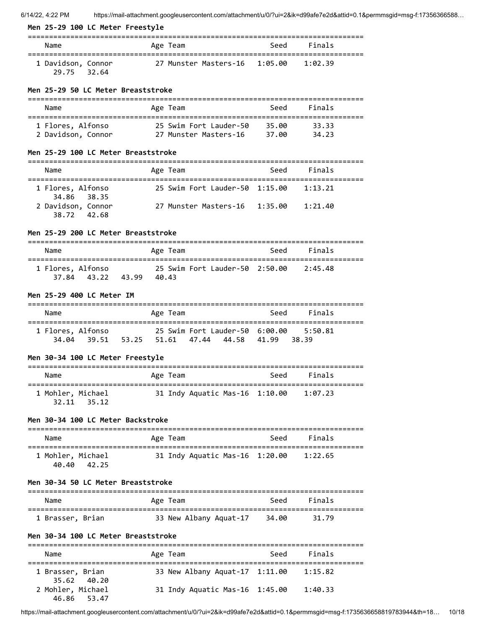## **Men 25-29 100 LC Meter Freestyle**

| Name                              | Age Team                      | Seed | Finals  |
|-----------------------------------|-------------------------------|------|---------|
| 1 Davidson, Connor<br>29.75 32.64 | 27 Munster Masters-16 1:05.00 |      | 1:02.39 |

#### **Men 25-29 50 LC Meter Breaststroke**

| Name               | Age Team               | Seed  | Finals |  |
|--------------------|------------------------|-------|--------|--|
| 1 Flores, Alfonso  | 25 Swim Fort Lauder-50 | 35.00 | 33.33  |  |
| 2 Davidson, Connor | 27 Munster Masters-16  | 37.00 | 34.23  |  |

### **Men 25-29 100 LC Meter Breaststroke**

| Name               | Age Team                       | Seed | Finals  |
|--------------------|--------------------------------|------|---------|
|                    |                                |      |         |
| 1 Flores, Alfonso  | 25 Swim Fort Lauder-50 1:15.00 |      | 1:13.21 |
| 34.86 38.35        |                                |      |         |
| 2 Davidson, Connor | 27 Munster Masters-16 1:35.00  |      | 1:21.40 |
| 38.72 42.68        |                                |      |         |

### **Men 25-29 200 LC Meter Breaststroke**

| Name                                | Age Team       |                                | Seed | Finals  |
|-------------------------------------|----------------|--------------------------------|------|---------|
| 1 Flores, Alfonso<br>37.84<br>43.22 | 43.99<br>40.43 | 25 Swim Fort Lauder-50 2:50.00 |      | 2:45.48 |

#### **Men 25-29 400 LC Meter IM**

| Name                       |             | Age Team    |             | Seed                           | Finals            |
|----------------------------|-------------|-------------|-------------|--------------------------------|-------------------|
| 1 Flores, Alfonso<br>34.04 | 39.51 53.25 | 51.61 47.44 | 44.58 41.99 | 25 Swim Fort Lauder-50 6:00.00 | 5:50.81<br>-38.39 |

# **Men 30-34 100 LC Meter Freestyle**

| Name                             | Age Team                       | Seed | Finals  |
|----------------------------------|--------------------------------|------|---------|
| 1 Mohler, Michael<br>32.11 35.12 | 31 Indy Aquatic Mas-16 1:10.00 |      | 1:07.23 |

## **Men 30-34 100 LC Meter Backstroke**

| Name                                | Age Team                       | Seed | Finals  |  |
|-------------------------------------|--------------------------------|------|---------|--|
| 1 Mohler, Michael<br>40.40<br>42.25 | 31 Indy Aquatic Mas-16 1:20.00 |      | 1:22.65 |  |

### **Men 30-34 50 LC Meter Breaststroke**

| Name             | Age Team               | Seed  | Finals |  |
|------------------|------------------------|-------|--------|--|
| 1 Brasser, Brian | 33 New Albany Aquat-17 | 34.00 | 31.79  |  |

### **Men 30-34 100 LC Meter Breaststroke**

| Name                             | Age Team                       | Seed | Finals  |  |
|----------------------------------|--------------------------------|------|---------|--|
| 1 Brasser, Brian<br>35.62 40.20  | 33 New Albany Aquat-17 1:11.00 |      | 1:15.82 |  |
| 2 Mohler, Michael<br>46.86 53.47 | 31 Indy Aquatic Mas-16 1:45.00 |      | 1:40.33 |  |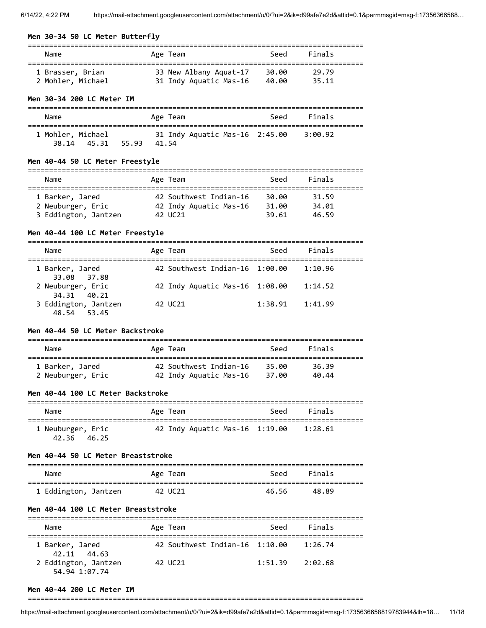### **Men 30-34 50 LC Meter Butterfly**

| Name              | Age Team               | Seed  | Finals |  |
|-------------------|------------------------|-------|--------|--|
| 1 Brasser, Brian  | 33 New Albany Aquat-17 | 30.00 | 29.79  |  |
| 2 Mohler, Michael | 31 Indy Aquatic Mas-16 | 40.00 | 35.11  |  |

## **Men 30-34 200 LC Meter IM**

| Name              |       | Age Team                       | Seed | Finals  |  |
|-------------------|-------|--------------------------------|------|---------|--|
| 1 Mohler, Michael |       | 31 Indy Aquatic Mas-16 2:45.00 |      | 3:00.92 |  |
| 38.14 45.31       | 55.93 | 41.54                          |      |         |  |

## **Men 40-44 50 LC Meter Freestyle**

| Name                 | Age Team               | Seed  | Finals |  |
|----------------------|------------------------|-------|--------|--|
| 1 Barker, Jared      | 42 Southwest Indian-16 | 30.00 | 31.59  |  |
| 2 Neuburger, Eric    | 42 Indy Aquatic Mas-16 | 31.00 | 34.01  |  |
| 3 Eddington, Jantzen | 42 UC21                | 39.61 | 46.59  |  |

## **Men 40-44 100 LC Meter Freestyle**

| Name                                | Age Team                       | Seed    | Finals  |
|-------------------------------------|--------------------------------|---------|---------|
| 1 Barker, Jared<br>33.08 37.88      | 42 Southwest Indian-16 1:00.00 |         | 1:10.96 |
| 2 Neuburger, Eric<br>34.31 40.21    | 42 Indy Aquatic Mas-16 1:08.00 |         | 1:14.52 |
| 3 Eddington, Jantzen<br>48.54 53.45 | 42 UC21                        | 1:38.91 | 1:41.99 |

### **Men 40-44 50 LC Meter Backstroke**

| Name              | Age Team               | Seed  | Finals |
|-------------------|------------------------|-------|--------|
| 1 Barker, Jared   | 42 Southwest Indian-16 | 35.AA | 36.39  |
| 2 Neuburger, Eric | 42 Indy Aquatic Mas-16 | 37.00 | 40.44  |

### **Men 40-44 100 LC Meter Backstroke**

| Name                             | Age Team                       | Seed | Finals  |  |
|----------------------------------|--------------------------------|------|---------|--|
| 1 Neuburger, Eric<br>42.36 46.25 | 42 Indy Aquatic Mas-16 1:19.00 |      | 1:28.61 |  |

#### **Men 40-44 50 LC Meter Breaststroke**

| Name                 | Age Team | Seed  | Finals |  |
|----------------------|----------|-------|--------|--|
| 1 Eddington, Jantzen | 42 UC21  | 46.56 | 48.89  |  |

### **Men 40-44 100 LC Meter Breaststroke**

| Name                                  | Age Team                       | Seed    | Finals  |  |  |  |  |
|---------------------------------------|--------------------------------|---------|---------|--|--|--|--|
| 1 Barker, Jared<br>42.11 44.63        | 42 Southwest Indian-16 1:10.00 |         | 1:26.74 |  |  |  |  |
| 2 Eddington, Jantzen<br>54.94 1:07.74 | 42 UC21                        | 1:51.39 | 2:02.68 |  |  |  |  |

#### **Men 40-44 200 LC Meter IM**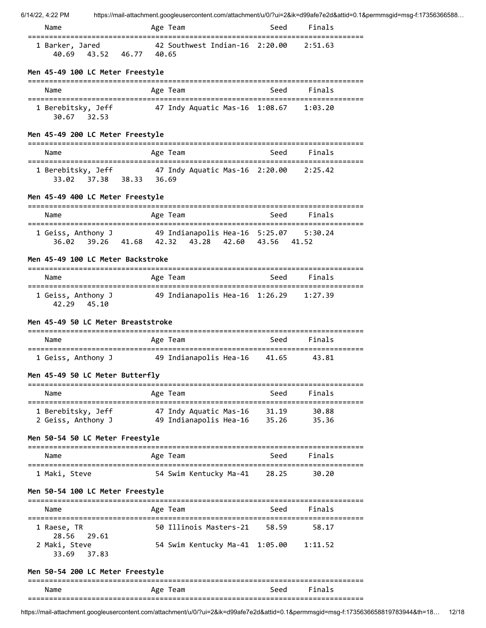| Name            |             |       | Age Team                                        | Seed | Finals |  |
|-----------------|-------------|-------|-------------------------------------------------|------|--------|--|
| 1 Barker, Jared | 40.69 43.52 | 46.77 | 42 Southwest Indian-16 2:20.00 2:51.63<br>40.65 |      |        |  |

## **Men 45-49 100 LC Meter Freestyle**

| Name                                 | Age Team                       | Seed | Finals  |
|--------------------------------------|--------------------------------|------|---------|
| 1 Berebitsky, Jeff<br>30.67<br>32.53 | 47 Indy Aquatic Mas-16 1:08.67 |      | 1:03.20 |

## **Men 45-49 200 LC Meter Freestyle**

| Name                                     |          | Age Team                                                                                                                                                      |           | Seed Finals   |  |
|------------------------------------------|----------|---------------------------------------------------------------------------------------------------------------------------------------------------------------|-----------|---------------|--|
| $37.38$ 38.33 36.69<br>33.02             |          | 1 Berebitsky, Jeff 47 Indy Aquatic Mas-16 2:20.00 2:25.42                                                                                                     |           |               |  |
| Men 45-49 400 LC Meter Freestyle         |          |                                                                                                                                                               |           |               |  |
| Name                                     |          | Age Team                                                                                                                                                      | Seed      | Finals        |  |
|                                          |          | 1 Geiss, Anthony J 49 Indianapolis Hea-16 5:25.07 5:30.24<br>36.02 39.26 41.68 42.32 43.28 42.60 43.56 41.52                                                  |           |               |  |
| Men 45-49 100 LC Meter Backstroke        |          |                                                                                                                                                               |           |               |  |
| Name                                     |          | Age Team                                                                                                                                                      | Seed      | Finals        |  |
| 42.29 45.10                              |          | 1 Geiss, Anthony J 49 Indianapolis Hea-16 1:26.29 1:27.39                                                                                                     |           |               |  |
| Men 45-49 50 LC Meter Breaststroke       |          |                                                                                                                                                               |           |               |  |
| Name                                     |          | Age Team                                                                                                                                                      | seed Seed | <b>Finals</b> |  |
|                                          |          | 1 Geiss, Anthony J 49 Indianapolis Hea-16 41.65 43.81                                                                                                         |           |               |  |
| Men 45-49 50 LC Meter Butterfly          |          |                                                                                                                                                               |           |               |  |
| Name                                     |          | Age Team                                                                                                                                                      | Seed      | Finals        |  |
|                                          |          | 1 Berebitsky, Jeff              47 Indy Aquatic Mas-16     31.19        30.88<br>2 Geiss, Anthony J             49 Indianapolis Hea-16     35.26        35.36 |           |               |  |
| Men 50-54 50 LC Meter Freestyle          |          |                                                                                                                                                               |           |               |  |
| Name                                     | Age Team |                                                                                                                                                               |           | Seed Finals   |  |
| 1 Maki, Steve                            |          | 54 Swim Kentucky Ma-41 28.25 30.20                                                                                                                            |           |               |  |
| Men 50-54 100 LC Meter Freestyle         |          |                                                                                                                                                               |           |               |  |
| Name                                     |          | Age Team                                                                                                                                                      | Seed      | Finals        |  |
| 1 Raese, TR<br>29.61                     |          | 50 Illinois Masters-21                                                                                                                                        | 58.59     | 58.17         |  |
| 28.56<br>2 Maki, Steve<br>37.83<br>33.69 |          | 54 Swim Kentucky Ma-41 1:05.00                                                                                                                                |           | 1:11.52       |  |
| Men 50-54 200 LC Meter Freestyle         |          |                                                                                                                                                               |           |               |  |
| Name                                     |          | Age Team                                                                                                                                                      | Seed      | Finals        |  |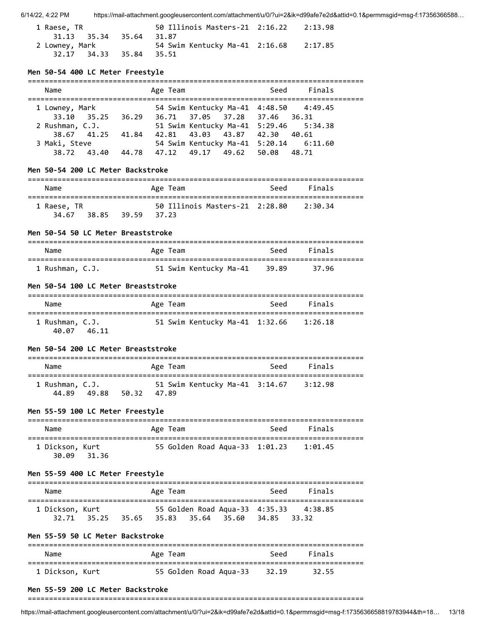| 1 Raese, TR             | 50 Illinois Masters-21 2:16.22 2:13.98 |  |
|-------------------------|----------------------------------------|--|
| 31.13 35.34 35.64       | 31.87                                  |  |
| 2 Lowney, Mark          | 54 Swim Kentucky Ma-41 2:16.68 2:17.85 |  |
| 32.17 34.33 35.84 35.51 |                                        |  |

### **Men 50-54 400 LC Meter Freestyle**

| Finals<br>Seed<br>Name<br>Age Team<br>54 Swim Kentucky Ma-41 4:48.50 4:49.45<br>1 Lowney, Mark<br>33.10 35.25 36.29 36.71 37.05 37.28 37.46 36.31<br>51 Swim Kentucky Ma-41 5:29.46 5:34.38<br>2 Rushman, C.J.<br>42.81 43.03 43.87 42.30 40.61<br>38.67 41.25 41.84<br>54 Swim Kentucky Ma-41 5:20.14 6:11.60<br>3 Maki, Steve<br>38.72 43.40 44.78 47.12 49.17 49.62 50.08 48.71 |  |  |
|------------------------------------------------------------------------------------------------------------------------------------------------------------------------------------------------------------------------------------------------------------------------------------------------------------------------------------------------------------------------------------|--|--|
|                                                                                                                                                                                                                                                                                                                                                                                    |  |  |
|                                                                                                                                                                                                                                                                                                                                                                                    |  |  |

# **Men 50-54 200 LC Meter Backstroke**

| Name        |       |       |       | Age Team                       | Seed | Finals  |  |
|-------------|-------|-------|-------|--------------------------------|------|---------|--|
| 1 Raese, TR |       |       |       | 50 Illinois Masters-21 2:28.80 |      | 2:30.34 |  |
| 34.67       | 38.85 | 39.59 | 37.23 |                                |      |         |  |

#### **Men 50-54 50 LC Meter Breaststroke**

| Name            | Age Team                     | Seed | Finals  |  |
|-----------------|------------------------------|------|---------|--|
| 1 Rushman, C.J. | 51 Swim Kentucky Ma-41 39.89 |      | - 37.96 |  |

#### **Men 50-54 100 LC Meter Breaststroke**

| Name                              | Age Team                       | Seed | Finals  |
|-----------------------------------|--------------------------------|------|---------|
| 1 Rushman, C.J.<br>40.07<br>46.11 | 51 Swim Kentucky Ma-41 1:32.66 |      | 1:26.18 |

### **Men 50-54 200 LC Meter Breaststroke**

| Name                     |       |       | Age Team |                                | Seed | Finals  |  |
|--------------------------|-------|-------|----------|--------------------------------|------|---------|--|
| 1 Rushman, C.J.<br>44.89 | 49.88 | 50.32 | 47.89    | 51 Swim Kentucky Ma-41 3:14.67 |      | 3:12.98 |  |

#### **Men 55-59 100 LC Meter Freestyle**

| Name                              | Age Team                       | Seed | Finals  |
|-----------------------------------|--------------------------------|------|---------|
| 1 Dickson, Kurt<br>30.09<br>31.36 | 55 Golden Road Aqua-33 1:01.23 |      | 1:01.45 |

### **Men 55-59 400 LC Meter Freestyle**

| Name            |                                                 | Age Team |  | Seed | Finals                                 |
|-----------------|-------------------------------------------------|----------|--|------|----------------------------------------|
| 1 Dickson, Kurt | 32.71 35.25 35.65 35.83 35.64 35.60 34.85 33.32 |          |  |      | 55 Golden Road Aqua-33 4:35.33 4:38.85 |

# **Men 55-59 50 LC Meter Backstroke**

| Name            | Age Team               | Seed  | Finals |
|-----------------|------------------------|-------|--------|
| 1 Dickson, Kurt | 55 Golden Road Aqua-33 | 32.19 | 32.55  |

#### **Men 55-59 200 LC Meter Backstroke**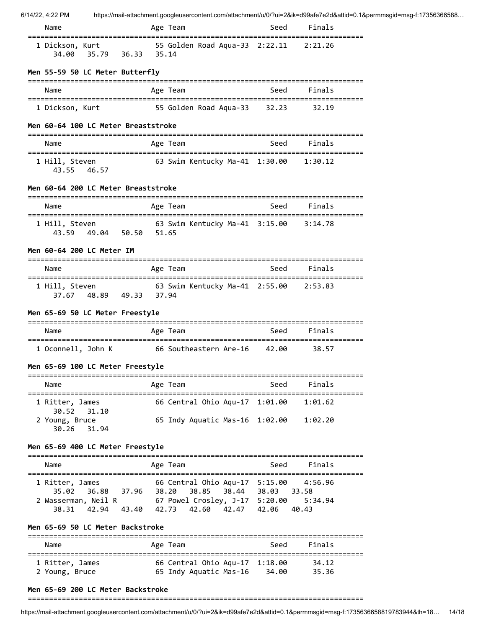| Name                                                                            | Age Team                                                                | Seed | Finals                                      |
|---------------------------------------------------------------------------------|-------------------------------------------------------------------------|------|---------------------------------------------|
| ==============================<br>1 Dickson, Kurt<br>35.79 36.33 35.14<br>34.00 | :=======================<br>55 Golden Road Aqua-33 2:22.11 2:21.26      |      | ===========                                 |
| Men 55-59 50 LC Meter Butterfly                                                 |                                                                         |      |                                             |
| Name                                                                            | Age Team                                                                | Seed | Finals                                      |
| 1 Dickson, Kurt                                                                 | 55 Golden Road Aqua-33 32.23                                            |      | 32.19                                       |
| Men 60-64 100 LC Meter Breaststroke                                             |                                                                         |      |                                             |
| Name                                                                            | Age Team                                                                | Seed | Finals                                      |
| 1 Hill, Steven<br>43.55 46.57                                                   | 63 Swim Kentucky Ma-41 1:30.00 1:30.12                                  |      |                                             |
| Men 60-64 200 LC Meter Breaststroke                                             |                                                                         |      |                                             |
| Name                                                                            | Age Team                                                                | Seed | Finals                                      |
| 1 Hill, Steven<br>43.59 49.04 50.50 51.65                                       | 63 Swim Kentucky Ma-41 3:15.00 3:14.78                                  |      |                                             |
| Men 60-64 200 LC Meter IM                                                       |                                                                         |      |                                             |
| Name                                                                            | Age Team                                                                | Seed | Finals                                      |
| 1 Hill, Steven<br>37.67 48.89 49.33 37.94                                       | 63 Swim Kentucky Ma-41 2:55.00 2:53.83                                  |      |                                             |
| Men 65-69 50 LC Meter Freestyle                                                 |                                                                         |      |                                             |
| Name                                                                            | Age Team                                                                | Seed | Finals                                      |
| 1 Oconnell, John K                                                              | 66 Southeastern Are-16 42.00                                            |      | 38.57                                       |
| Men 65-69 100 LC Meter Freestyle                                                |                                                                         |      |                                             |
| Name                                                                            | Age Team                                                                | Seed | Finals                                      |
| 1 Ritter, James                                                                 | ================<br>66 Central Ohio Aqu-17 1:01.00                      |      | 1:01.62                                     |
| 31.10<br>30.52<br>2 Young, Bruce<br>30.26<br>31.94                              | 65 Indy Aquatic Mas-16 1:02.00                                          |      | 1:02.20                                     |
| Men 65-69 400 LC Meter Freestyle                                                |                                                                         |      |                                             |
| Name                                                                            | Age Team                                                                | Seed | Finals                                      |
| 1 Ritter, James<br>35.02<br>36.88 37.96 38.20                                   | 66 Central Ohio Aqu-17 5:15.00<br>38.85 38.44 38.03                     |      | 4:56.96<br>33.58                            |
| 2 Wasserman, Neil R<br>38.31                                                    | 67  Powel Crosley, J-17  5:20.00<br>42.94 43.40 42.73 42.60 42.47 42.06 |      | 5:34.94<br>40.43                            |
| Men 65-69 50 LC Meter Backstroke                                                |                                                                         |      |                                             |
| Name                                                                            | Age Team                                                                | Seed | =================================<br>Finals |
| 1 Pitter, James                                                                 | $66$ Central Obio Aquell $1.18$ $0.0$                                   |      | - 21.10                                     |

 1 Ritter, James 66 Central Ohio Aqu-17 1:18.00 34.12 2 Young, Bruce 65 Indy Aquatic Mas-16 34.00 35.36

### **Men 65-69 200 LC Meter Backstroke**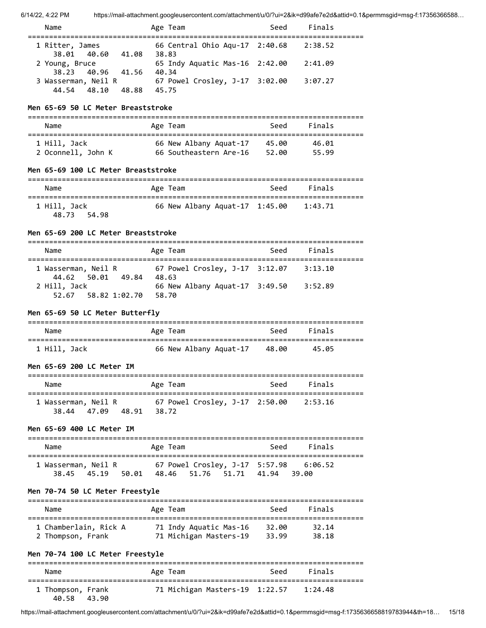| 6/14/22, 4:22 PM | https://mail-attachment.googleusercontent.com/attachment/u/0/?ui=2&ik=d99afe7e2d&attid=0.1&permmsgid=msg-f:17356366588 |
|------------------|------------------------------------------------------------------------------------------------------------------------|
|                  |                                                                                                                        |

| Name                                   | Age Team                                | Seed | Finals  |  |
|----------------------------------------|-----------------------------------------|------|---------|--|
| 1 Ritter, James                        | 66 Central Ohio Aqu-17 2:40.68          |      | 2:38.52 |  |
| 38.01 40.60<br>41.08<br>2 Young, Bruce | 38.83<br>65 Indy Aquatic Mas-16 2:42.00 |      | 2:41.09 |  |
| 38.23 40.96 41.56                      | 40.34                                   |      |         |  |
| 3 Wasserman, Neil R                    | 67 Powel Crosley, J-17 3:02.00          |      | 3:07.27 |  |
| 44.54 48.10<br>48.88                   | 45.75                                   |      |         |  |

### **Men 65-69 50 LC Meter Breaststroke**

| Name               | Age Team               | Seed  | Finals |
|--------------------|------------------------|-------|--------|
| 1 Hill, Jack       | 66 New Albany Aquat-17 | 45.00 | 46.01  |
| 2 Oconnell, John K | 66 Southeastern Are-16 | 52.00 | 55.99  |

# **Men 65-69 100 LC Meter Breaststroke**

| Name                           | Age Team                       | Seed | Finals  |  |
|--------------------------------|--------------------------------|------|---------|--|
| 1 Hill, Jack<br>54.98<br>48.73 | 66 New Albany Aquat-17 1:45.00 |      | 1:43.71 |  |

### **Men 65-69 200 LC Meter Breaststroke**

| Name                 | Age Team                       | Seed | Finals  |
|----------------------|--------------------------------|------|---------|
|                      |                                |      |         |
| 1 Wasserman, Neil R  | 67 Powel Crosley, J-17 3:12.07 |      | 3:13.10 |
| 44.62 50.01<br>49.84 | 48.63                          |      |         |
| 2 Hill, Jack         | 66 New Albany Aquat-17 3:49.50 |      | 3:52.89 |
| 52.67 58.82 1:02.70  | 58.70                          |      |         |
|                      |                                |      |         |

## **Men 65-69 50 LC Meter Butterfly**

| Name         | Age Team                     | Seed | <b>Finals</b> |  |
|--------------|------------------------------|------|---------------|--|
| 1 Hill, Jack | 66 New Albany Aquat-17 48.00 |      | 45.05         |  |

### **Men 65-69 200 LC Meter IM**

| Name                               |                | Age Team                               | Seed | Finals |
|------------------------------------|----------------|----------------------------------------|------|--------|
| 1 Wasserman, Neil R<br>38.44 47.09 | 48.91<br>38.72 | 67 Powel Crosley, J-17 2:50.00 2:53.16 |      |        |

### **Men 65-69 400 LC Meter IM**

| Name                               |       | Age Team |  | Seed                          | Finals |
|------------------------------------|-------|----------|--|-------------------------------|--------|
| 1 Wasserman, Neil R<br>38.45 45.19 | 50.01 |          |  | 48.46 51.76 51.71 41.94 39.00 |        |

### **Men 70-74 50 LC Meter Freestyle**

| Name                  | Age Team               | Seed  | Finals |  |
|-----------------------|------------------------|-------|--------|--|
| 1 Chamberlain, Rick A | 71 Indy Aquatic Mas-16 | 32.00 | 32.14  |  |
| 2 Thompson, Frank     | 71 Michigan Masters-19 | 33.99 | 38.18  |  |

# **Men 70-74 100 LC Meter Freestyle**

| Name                       |       | Age Team |                                | Seed | Finals  |  |
|----------------------------|-------|----------|--------------------------------|------|---------|--|
| 1 Thompson, Frank<br>40.58 | 43.90 |          | 71 Michigan Masters-19 1:22.57 |      | 1:24.48 |  |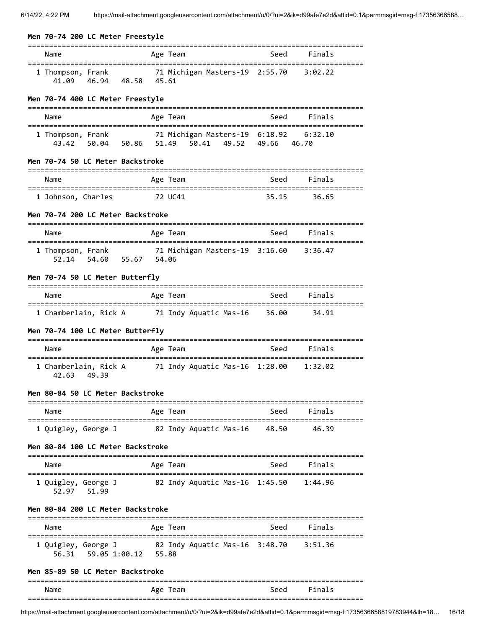| Men 70-74 200 LC Meter Freestyle                       |                                                                                           | :==================== |                                |
|--------------------------------------------------------|-------------------------------------------------------------------------------------------|-----------------------|--------------------------------|
| Name                                                   | Age Team                                                                                  |                       | Seed Finals                    |
| 46.94 48.58 45.61<br>41.09                             | 1 Thompson, Frank 71 Michigan Masters-19 2:55.70 3:02.22                                  |                       |                                |
| Men 70-74 400 LC Meter Freestyle                       |                                                                                           |                       |                                |
| Name                                                   | Age Team                                                                                  | Seed                  | Finals                         |
| 1 Thompson, Frank                                      | 71 Michigan Masters-19 6:18.92 6:32.10<br>43.42 50.04 50.86 51.49 50.41 49.52 49.66 46.70 |                       |                                |
| Men 70-74 50 LC Meter Backstroke                       |                                                                                           |                       |                                |
| Name                                                   | Age Team                                                                                  | Seed                  | Finals                         |
| 1 Johnson, Charles                                     | 72 UC41                                                                                   | 35.15                 | 36.65                          |
| Men 70-74 200 LC Meter Backstroke                      |                                                                                           |                       |                                |
| Name                                                   | Age Team                                                                                  | Seed                  | Finals                         |
| 54.60 55.67 54.06<br>52.14                             | 1 Thompson, Frank 71 Michigan Masters-19 3:16.60 3:36.47                                  |                       | ============================== |
| Men 70-74 50 LC Meter Butterfly                        |                                                                                           |                       |                                |
| Name                                                   | Age Team                                                                                  | Seed                  | Finals                         |
|                                                        | 1 Chamberlain, Rick A 71 Indy Aquatic Mas-16                                              | 36.00                 | 34.91                          |
| Men 70-74 100 LC Meter Butterfly                       |                                                                                           |                       |                                |
| Name                                                   | Age Team                                                                                  | Seed                  | Finals                         |
| 42.63<br>49.39                                         | 1 Chamberlain, Rick A 71 Indy Aquatic Mas-16 1:28.00                                      |                       | 1:32.02                        |
| Men 80-84 50 LC Meter Backstroke                       |                                                                                           |                       |                                |
| Name                                                   | Age Team                                                                                  | Seed                  | Finals                         |
| 1 Quigley, George J                                    | 82 Indy Aquatic Mas-16                                                                    | 48.50                 | 46.39                          |
| Men 80-84 100 LC Meter Backstroke                      |                                                                                           |                       |                                |
| Name                                                   | ===============<br>Age Team                                                               | Seed                  | Finals                         |
| 1 Quigley, George J<br>52.97 51.99                     | 82 Indy Aquatic Mas-16 1:45.50                                                            |                       | 1:44.96                        |
| Men 80-84 200 LC Meter Backstroke                      |                                                                                           |                       |                                |
| Name                                                   | Age Team                                                                                  | Seed                  | Finals                         |
| 1 Quigley, George J<br>56.31   59.05   1:00.12   55.88 | 82 Indy Aquatic Mas-16 3:48.70                                                            |                       | 3:51.36                        |
| Men 85-89 50 LC Meter Backstroke                       |                                                                                           |                       |                                |
| Name                                                   | Age Team                                                                                  | Seed                  | Finals                         |
|                                                        |                                                                                           |                       |                                |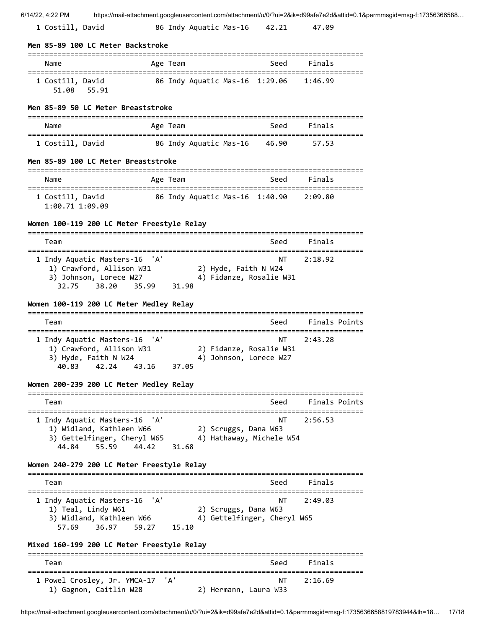| 6/14/22, 4:22 PM                                                                                                                                 |       |          |                                                     |       |                                       | https://mail-attachment.googleusercontent.com/attachment/u/0/?ui=2&ik=d99afe7e2d&attid=0.1&permmsgid=msg-f:17356366588 |
|--------------------------------------------------------------------------------------------------------------------------------------------------|-------|----------|-----------------------------------------------------|-------|---------------------------------------|------------------------------------------------------------------------------------------------------------------------|
| 1 Costill, David                                                                                                                                 |       |          | 86 Indy Aquatic Mas-16                              | 42.21 | 47.09                                 |                                                                                                                        |
| Men 85-89 100 LC Meter Backstroke                                                                                                                |       |          |                                                     |       |                                       |                                                                                                                        |
| Name                                                                                                                                             |       | Age Team |                                                     | Seed  | Finals                                |                                                                                                                        |
| 1 Costill, David<br>51.08 55.91                                                                                                                  |       |          | 86 Indy Aquatic Mas-16 1:29.06                      |       | 1:46.99                               |                                                                                                                        |
| Men 85-89 50 LC Meter Breaststroke                                                                                                               |       |          |                                                     |       |                                       |                                                                                                                        |
| Name                                                                                                                                             |       | Age Team |                                                     | Seed  | Finals                                |                                                                                                                        |
| 1 Costill, David                                                                                                                                 |       |          | 86 Indy Aquatic Mas-16                              | 46.90 | 57.53                                 |                                                                                                                        |
| Men 85-89 100 LC Meter Breaststroke                                                                                                              |       |          |                                                     |       |                                       |                                                                                                                        |
| Name                                                                                                                                             |       | Age Team |                                                     | Seed  | Finals                                |                                                                                                                        |
| 1 Costill, David<br>1:00.71 1:09.09                                                                                                              |       |          | 86 Indy Aquatic Mas-16 1:40.90                      |       | 2:09.80                               |                                                                                                                        |
| Women 100-119 200 LC Meter Freestyle Relay                                                                                                       |       |          |                                                     |       |                                       |                                                                                                                        |
| Team                                                                                                                                             |       |          |                                                     | Seed  | Finals                                |                                                                                                                        |
| 1 Indy Aquatic Masters-16 'A'<br>1) Crawford, Allison W31<br>3) Johnson, Lorece W27<br>38.20<br>32.75<br>Women 100-119 200 LC Meter Medley Relay | 35.99 | 31.98    | 2) Hyde, Faith N W24<br>4) Fidanze, Rosalie W31     | NΤ    | 2:18.92                               |                                                                                                                        |
| Team                                                                                                                                             |       |          |                                                     | Seed  | Finals Points                         |                                                                                                                        |
| ======================================<br>1 Indy Aquatic Masters-16 'A'<br>1) Crawford, Allison W31<br>3) Hyde, Faith N W24<br>40.83<br>42.24    | 43.16 | 37.05    | 2) Fidanze, Rosalie W31<br>4) Johnson, Lorece W27   | ΝT    | ==========================<br>2:43.28 |                                                                                                                        |
| Women 200-239 200 LC Meter Medley Relay                                                                                                          |       |          |                                                     |       |                                       |                                                                                                                        |
| Team                                                                                                                                             |       |          |                                                     | Seed  | Finals Points                         |                                                                                                                        |
| 1 Indy Aquatic Masters-16 'A'<br>1) Widland, Kathleen W66<br>3) Gettelfinger, Cheryl W65<br>44.84<br>55.59                                       | 44.42 | 31.68    | 2) Scruggs, Dana W63<br>4) Hathaway, Michele W54    | NΤ    | 2:56.53                               |                                                                                                                        |
| Women 240-279 200 LC Meter Freestyle Relay                                                                                                       |       |          |                                                     |       |                                       |                                                                                                                        |
| Team                                                                                                                                             |       |          |                                                     | Seed  | Finals                                |                                                                                                                        |
| 1 Indy Aquatic Masters-16 'A'<br>1) Teal, Lindy W61<br>3) Widland, Kathleen W66<br>57.69<br>36.97                                                | 59.27 | 15.10    | 2) Scruggs, Dana W63<br>4) Gettelfinger, Cheryl W65 | NΤ    | 2:49.03                               |                                                                                                                        |
| Mixed 160-199 200 LC Meter Freestyle Relay                                                                                                       |       |          |                                                     |       |                                       |                                                                                                                        |
| Team                                                                                                                                             |       |          |                                                     | Seed  | Finals                                |                                                                                                                        |
| 1 Powel Crosley, Jr. YMCA-17<br>1) Gagnon, Caitlin W28                                                                                           |       | 'A'      | 2) Hermann, Laura W33                               | NΤ    | 2:16.69                               |                                                                                                                        |